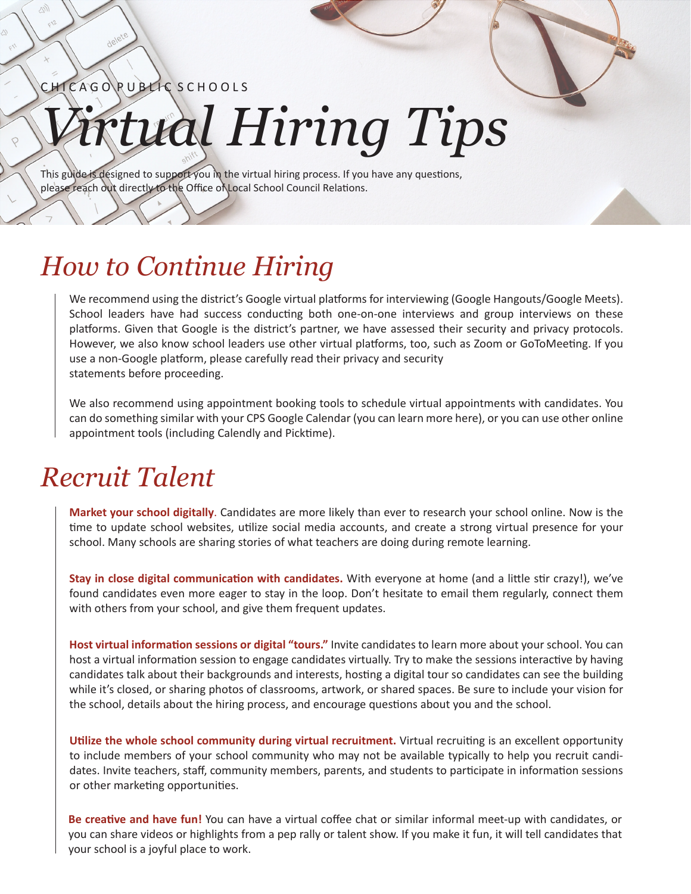CHICAGO RUBLIC SCHOOLS

## *Virtual Hiring Tips*

This guide is designed to support you in the virtual hiring process. If you have any questions, please reach out directly to the Office of Local School Council Relations.

## *How to Continue Hiring*

We recommend using the district's Google virtual platforms for interviewing (Google Hangouts/Google Meets). School leaders have had success conducting both one-on-one interviews and group interviews on these platforms. Given that Google is the district's partner, we have assessed their security and privacy protocols. However, we also know school leaders use other virtual platforms, too, such as Zoom or GoToMeeting. If you use a non-Google platform, please carefully read their privacy and security statements before proceeding.

We also recommend using appointment booking tools to schedule virtual appointments with candidates. You can do something similar with your CPS Google Calendar (you can learn more here), or you can use other online appointment tools (including Calendly and Picktime).

## *Recruit Talent*

**Market your school digitally**. Candidates are more likely than ever to research your school online. Now is the time to update school websites, utilize social media accounts, and create a strong virtual presence for your school. Many schools are sharing stories of what teachers are doing during remote learning.

**Stay in close digital communication with candidates.** With everyone at home (and a little stir crazy!), we've found candidates even more eager to stay in the loop. Don't hesitate to email them regularly, connect them with others from your school, and give them frequent updates.

**Host virtual information sessions or digital "tours."** Invite candidates to learn more about your school. You can host a virtual information session to engage candidates virtually. Try to make the sessions interactive by having candidates talk about their backgrounds and interests, hosting a digital tour so candidates can see the building while it's closed, or sharing photos of classrooms, artwork, or shared spaces. Be sure to include your vision for the school, details about the hiring process, and encourage questions about you and the school.

**Utilize the whole school community during virtual recruitment.** Virtual recruiting is an excellent opportunity to include members of your school community who may not be available typically to help you recruit candidates. Invite teachers, staff, community members, parents, and students to participate in information sessions or other marketing opportunities.

**Be creative and have fun!** You can have a virtual coffee chat or similar informal meet-up with candidates, or you can share videos or highlights from a pep rally or talent show. If you make it fun, it will tell candidates that your school is a joyful place to work.